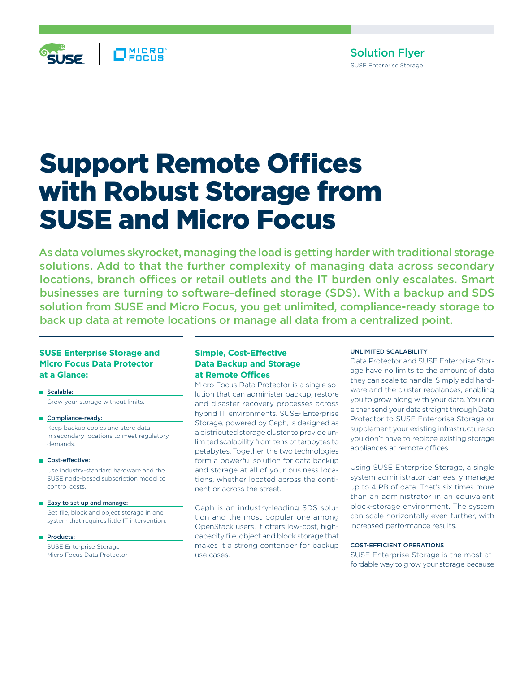

# Solution Flyer SUSE Enterprise Storage

# Support Remote Offices with Robust Storage from SUSE and Micro Focus

As data volumes skyrocket, managing the load is getting harder with traditional storage solutions. Add to that the further complexity of managing data across secondary locations, branch offices or retail outlets and the IT burden only escalates. Smart businesses are turning to software-defined storage (SDS). With a backup and SDS solution from SUSE and Micro Focus, you get unlimited, compliance-ready storage to back up data at remote locations or manage all data from a centralized point.

## **SUSE Enterprise Storage and Micro Focus Data Protector at a Glance:**

Scalable: Grow your storage without limits.

- Compliance-ready: Keep backup copies and store data in secondary locations to meet regulatory demands.
- Cost-effective:

 Use industry-standard hardware and the SUSE node-based subscription model to control costs.

- Easy to set up and manage: Get file, block and object storage in one system that requires little IT intervention.
- Products:

 SUSE Enterprise Storage Micro Focus Data Protector

# **Simple, Cost-Effective Data Backup and Storage at Remote Offices**

Micro Focus Data Protector is a single solution that can administer backup, restore and disaster recovery processes across hybrid IT environments. SUSE<sup>®</sup> Enterprise Storage, powered by Ceph, is designed as a distributed storage cluster to provide unlimited scalability from tens of terabytes to petabytes. Together, the two technologies form a powerful solution for data backup and storage at all of your business locations, whether located across the continent or across the street.

Ceph is an industry-leading SDS solution and the most popular one among OpenStack users. It offers low-cost, highcapacity file, object and block storage that makes it a strong contender for backup use cases.

#### UNLIMITED SCALABILITY

Data Protector and SUSE Enterprise Storage have no limits to the amount of data they can scale to handle. Simply add hardware and the cluster rebalances, enabling you to grow along with your data. You can either send your data straight through Data Protector to SUSE Enterprise Storage or supplement your existing infrastructure so you don't have to replace existing storage appliances at remote offices.

Using SUSE Enterprise Storage, a single system administrator can easily manage up to 4 PB of data. That's six times more than an administrator in an equivalent block-storage environment. The system can scale horizontally even further, with increased performance results.

#### COST-EFFICIENT OPERATIONS

SUSE Enterprise Storage is the most affordable way to grow your storage because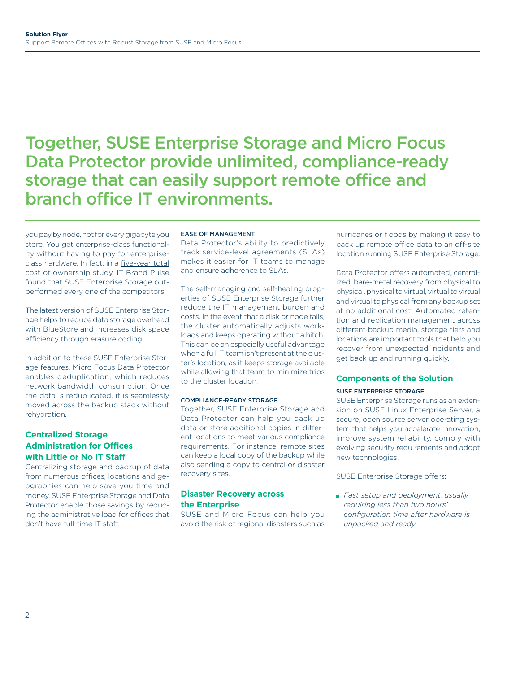# Together, SUSE Enterprise Storage and Micro Focus Data Protector provide unlimited, compliance-ready storage that can easily support remote office and branch office IT environments.

you pay by node, not for every gigabyte you store. You get enterprise-class functionality without having to pay for enterpriseclass hardware. In fact, in a [five-year total](https://www.suse.com/media/case-study/5_year_tco_case_study.pdf) [cost of ownership study](https://www.suse.com/media/case-study/5_year_tco_case_study.pdf), IT Brand Pulse found that SUSE Enterprise Storage outperformed every one of the competitors.

The latest version of SUSE Enterprise Storage helps to reduce data storage overhead with BlueStore and increases disk space efficiency through erasure coding.

In addition to these SUSE Enterprise Storage features, Micro Focus Data Protector enables deduplication, which reduces network bandwidth consumption. Once the data is reduplicated, it is seamlessly moved across the backup stack without rehydration.

# **Centralized Storage Administration for Offices with Little or No IT Staff**

Centralizing storage and backup of data from numerous offices, locations and geographies can help save you time and money. SUSE Enterprise Storage and Data Protector enable those savings by reducing the administrative load for offices that don't have full-time IT staff.

#### EASE OF MANAGEMENT

Data Protector's ability to predictively track service-level agreements (SLAs) makes it easier for IT teams to manage and ensure adherence to SLAs.

The self-managing and self-healing properties of SUSE Enterprise Storage further reduce the IT management burden and costs. In the event that a disk or node fails, the cluster automatically adjusts workloads and keeps operating without a hitch. This can be an especially useful advantage when a full IT team isn't present at the cluster's location, as it keeps storage available while allowing that team to minimize trips to the cluster location.

#### COMPLIANCE-READY STORAGE

Together, SUSE Enterprise Storage and Data Protector can help you back up data or store additional copies in different locations to meet various compliance requirements. For instance, remote sites can keep a local copy of the backup while also sending a copy to central or disaster recovery sites.

#### **Disaster Recovery across the Enterprise**

SUSE and Micro Focus can help you avoid the risk of regional disasters such as

hurricanes or floods by making it easy to back up remote office data to an off-site location running SUSE Enterprise Storage.

Data Protector offers automated, centralized, bare-metal recovery from physical to physical, physical to virtual, virtual to virtual and virtual to physical from any backup set at no additional cost. Automated retention and replication management across different backup media, storage tiers and locations are important tools that help you recover from unexpected incidents and get back up and running quickly.

#### **Components of the Solution**  SUSE ENTERPRISE STORAGE

SUSE Enterprise Storage runs as an extension on SUSE Linux Enterprise Server, a secure, open source server operating system that helps you accelerate innovation, improve system reliability, comply with evolving security requirements and adopt new technologies.

SUSE Enterprise Storage offers:

 *Fast setup and deployment, usually requiring less than two hours' configuration time after hardware is unpacked and ready*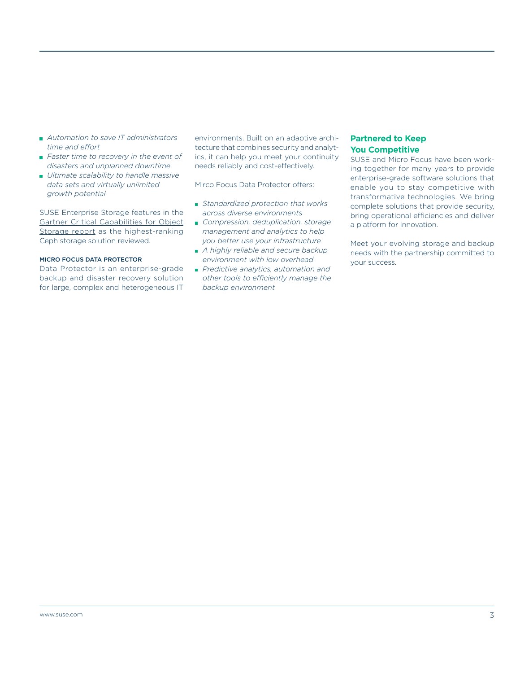- *Automation to save IT administrators time and effort*
- *Faster time to recovery in the event of disasters and unplanned downtime*
- *Ultimate scalability to handle massive data sets and virtually unlimited growth potential*

SUSE Enterprise Storage features in the [Gartner Critical Capabilities for Object](https://www.gartner.com/doc/reprints?id=1-4QLYCHW&ct=180207&st=sb) [Storage report](https://www.gartner.com/doc/reprints?id=1-4QLYCHW&ct=180207&st=sb) as the highest-ranking Ceph storage solution reviewed.

#### MICRO FOCUS DATA PROTECTOR

Data Protector is an enterprise-grade backup and disaster recovery solution for large, complex and heterogeneous IT environments. Built on an adaptive architecture that combines security and analytics, it can help you meet your continuity needs reliably and cost-effectively.

Mirco Focus Data Protector offers:

- *Standardized protection that works across diverse environments*
- *Compression, deduplication, storage management and analytics to help you better use your infrastructure*
- *A highly reliable and secure backup environment with low overhead*
- *Predictive analytics, automation and other tools to efficiently manage the backup environment*

### **Partnered to Keep You Competitive**

SUSE and Micro Focus have been working together for many years to provide enterprise-grade software solutions that enable you to stay competitive with transformative technologies. We bring complete solutions that provide security, bring operational efficiencies and deliver a platform for innovation.

Meet your evolving storage and backup needs with the partnership committed to your success.